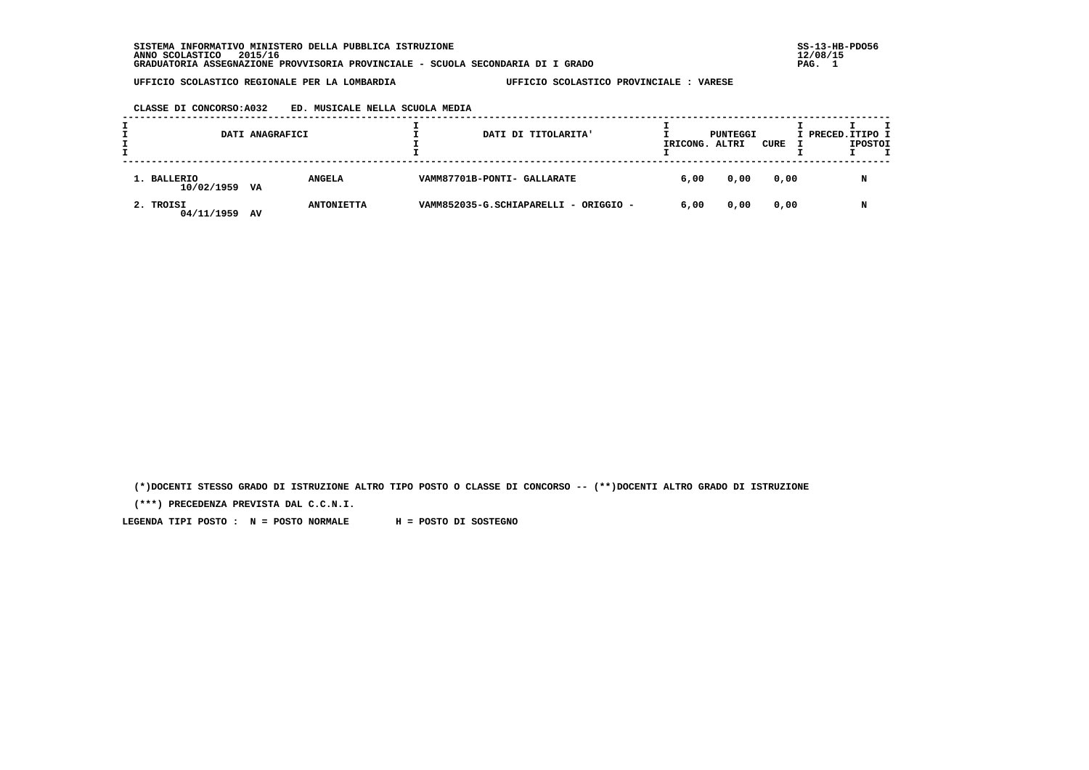**SISTEMA INFORMATIVO MINISTERO DELLA PUBBLICA ISTRUZIONE SS-13-HB-PDO56 ANNO SCOLASTICO 2015/16 12/08/15 GRADUATORIA ASSEGNAZIONE PROVVISORIA PROVINCIALE - SCUOLA SECONDARIA DI I GRADO PAG. 1**

 **UFFICIO SCOLASTICO REGIONALE PER LA LOMBARDIA UFFICIO SCOLASTICO PROVINCIALE : VARESE**

# **CLASSE DI CONCORSO:A032 ED. MUSICALE NELLA SCUOLA MEDIA**

|                           | DATI ANAGRAFICI |                   |  | DATI DI TITOLARITA'                   | PUNTEGGI<br>IRICONG. ALTRI |      | CURE | I PRECED. ITIPO I | <b>IPOSTOI</b> |  |
|---------------------------|-----------------|-------------------|--|---------------------------------------|----------------------------|------|------|-------------------|----------------|--|
| 1. BALLERIO<br>10/02/1959 | VA              | <b>ANGELA</b>     |  | VAMM87701B-PONTI- GALLARATE           | 6,00                       | 0,00 | 0,00 |                   |                |  |
| 2. TROISI<br>04/11/1959   | AV              | <b>ANTONIETTA</b> |  | VAMM852035-G.SCHIAPARELLI - ORIGGIO - | 6,00                       | 0,00 | 0,00 |                   |                |  |

 **(\*)DOCENTI STESSO GRADO DI ISTRUZIONE ALTRO TIPO POSTO O CLASSE DI CONCORSO -- (\*\*)DOCENTI ALTRO GRADO DI ISTRUZIONE**

 **(\*\*\*) PRECEDENZA PREVISTA DAL C.C.N.I.**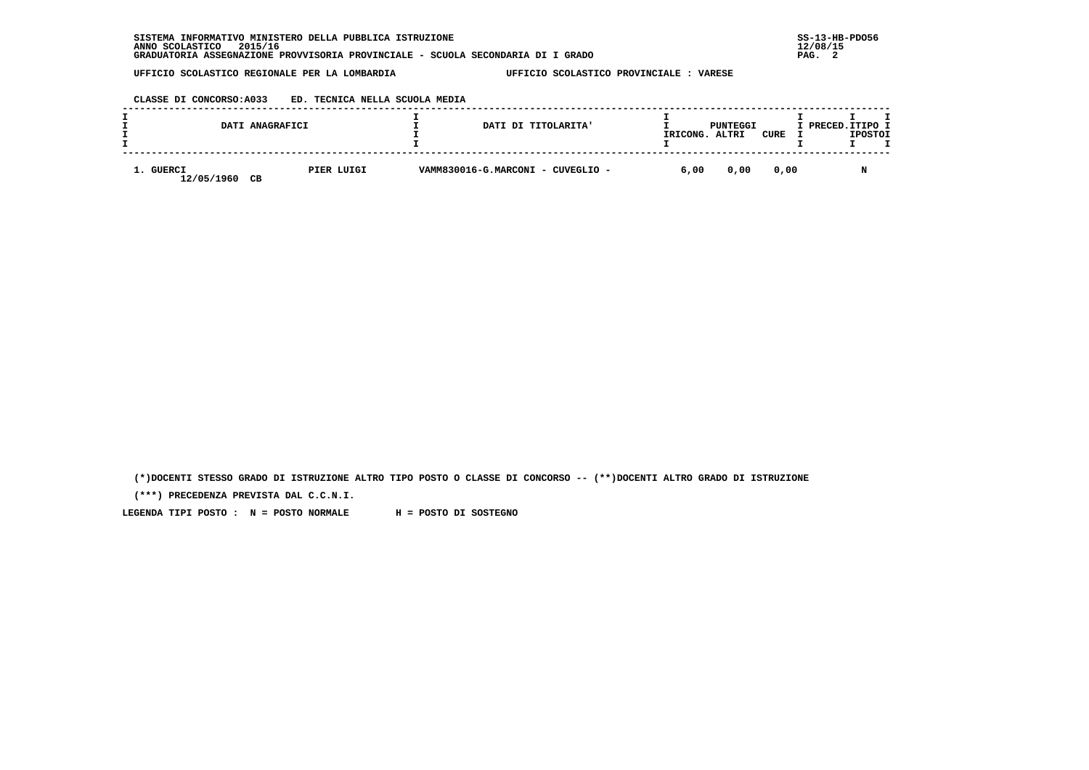## **CLASSE DI CONCORSO:A033 ED. TECNICA NELLA SCUOLA MEDIA**

|                         | DATI ANAGRAFICI  | DATI DI TITOLARITA'               | IRICONG. | PUNTEGGI<br>ALTRI | CURE | I PRECED.ITIPO I | <b>IPOSTOI</b> |  |
|-------------------------|------------------|-----------------------------------|----------|-------------------|------|------------------|----------------|--|
| 1. GUERCI<br>12/05/1960 | PIER LUIGI<br>CВ | VAMM830016-G.MARCONI - CUVEGLIO - | 6,00     | 0,00              | 0.00 |                  |                |  |

 **(\*)DOCENTI STESSO GRADO DI ISTRUZIONE ALTRO TIPO POSTO O CLASSE DI CONCORSO -- (\*\*)DOCENTI ALTRO GRADO DI ISTRUZIONE**

 **(\*\*\*) PRECEDENZA PREVISTA DAL C.C.N.I.**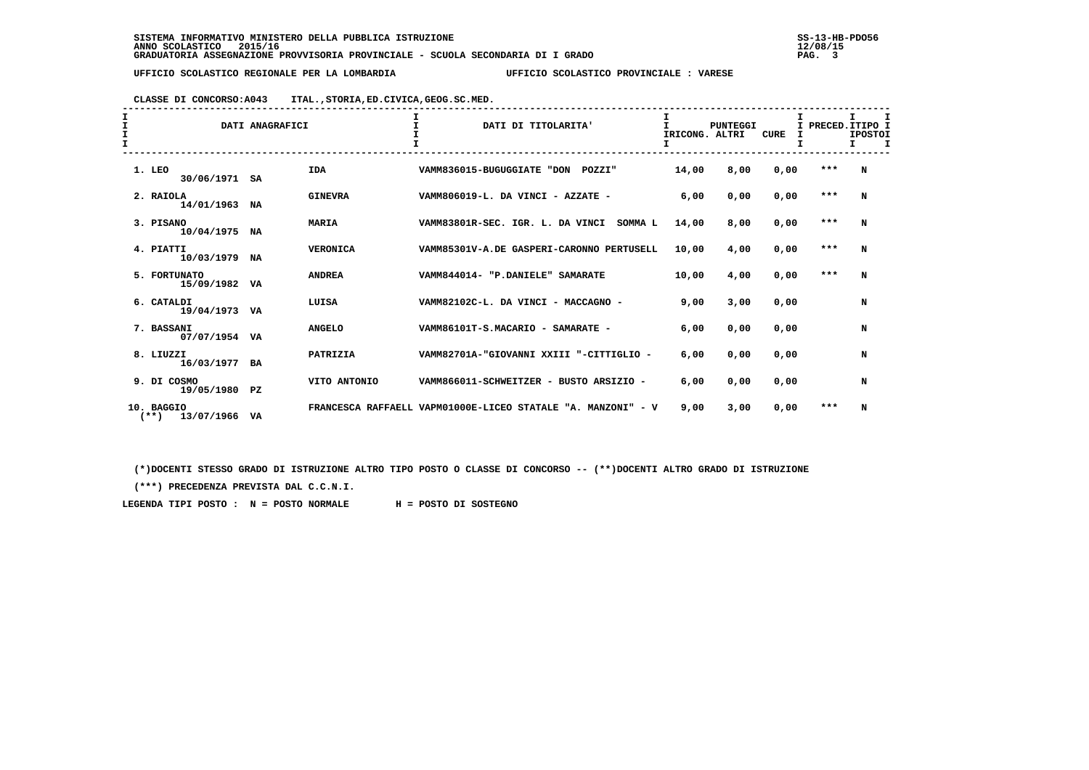# **CLASSE DI CONCORSO:A043 ITAL.,STORIA,ED.CIVICA,GEOG.SC.MED.**

| $\mathbf{I}$<br>I<br>$\mathbf{r}$ |                                        |    | $\mathbf{T}$<br>DATI ANAGRAFICI | DATI DI TITOLARITA'                                             | T<br>IRICONG. ALTRI | <b>PUNTEGGI</b> | <b>CURE</b> | I PRECED. ITIPO I | т.<br><b>IPOSTOI</b><br>$\mathbf{T}$<br>т. |  |
|-----------------------------------|----------------------------------------|----|---------------------------------|-----------------------------------------------------------------|---------------------|-----------------|-------------|-------------------|--------------------------------------------|--|
|                                   | 1. LEO<br>30/06/1971                   | SA | <b>IDA</b>                      | VAMM836015-BUGUGGIATE "DON<br><b>POZZI"</b>                     | 14,00               | 8,00            | 0,00        | $***$             | N                                          |  |
|                                   | 2. RAIOLA<br>14/01/1963 NA             |    | <b>GINEVRA</b>                  | VAMM806019-L. DA VINCI - AZZATE -                               | 6,00                | 0,00            | 0,00        | $***$             | N                                          |  |
|                                   | 3. PISANO<br>10/04/1975 NA             |    | <b>MARIA</b>                    | VAMM83801R-SEC. IGR. L. DA VINCI SOMMA L                        | 14,00               | 8,00            | 0,00        | $***$             | N                                          |  |
|                                   | 4. PIATTI<br>10/03/1979 NA             |    | <b>VERONICA</b>                 | VAMM85301V-A.DE GASPERI-CARONNO PERTUSELL                       | 10,00               | 4,00            | 0,00        | $***$             | N                                          |  |
|                                   | 5. FORTUNATO<br>15/09/1982 VA          |    | <b>ANDREA</b>                   | VAMM844014- "P.DANIELE" SAMARATE                                | 10,00               | 4,00            | 0,00        | ***               | N                                          |  |
|                                   | 6. CATALDI<br>19/04/1973 VA            |    | LUISA                           | VAMM82102C-L. DA VINCI - MACCAGNO -                             | 9,00                | 3,00            | 0.00        |                   | N                                          |  |
|                                   | 7. BASSANI<br>07/07/1954 VA            |    | <b>ANGELO</b>                   | VAMM86101T-S.MACARIO - SAMARATE -                               | 6,00                | 0,00            | 0.00        |                   | N                                          |  |
|                                   | 8. LIUZZI<br>16/03/1977 BA             |    | PATRIZIA                        | VAMM82701A-"GIOVANNI XXIII "-CITTIGLIO -                        | 6,00                | 0,00            | 0,00        |                   | N                                          |  |
|                                   | 9. DI COSMO<br>19/05/1980 PZ           |    | VITO ANTONIO                    | VAMM866011-SCHWEITZER - BUSTO ARSIZIO -                         | 6,00                | 0,00            | 0,00        |                   | N                                          |  |
|                                   | 10. BAGGIO<br>$(***)$<br>13/07/1966 VA |    |                                 | FRANCESCA RAFFAELL VAPM01000E-LICEO STATALE<br>"A. MANZONI" - V | 9,00                | 3,00            | 0,00        | ***               | N                                          |  |

 **(\*)DOCENTI STESSO GRADO DI ISTRUZIONE ALTRO TIPO POSTO O CLASSE DI CONCORSO -- (\*\*)DOCENTI ALTRO GRADO DI ISTRUZIONE**

 **(\*\*\*) PRECEDENZA PREVISTA DAL C.C.N.I.**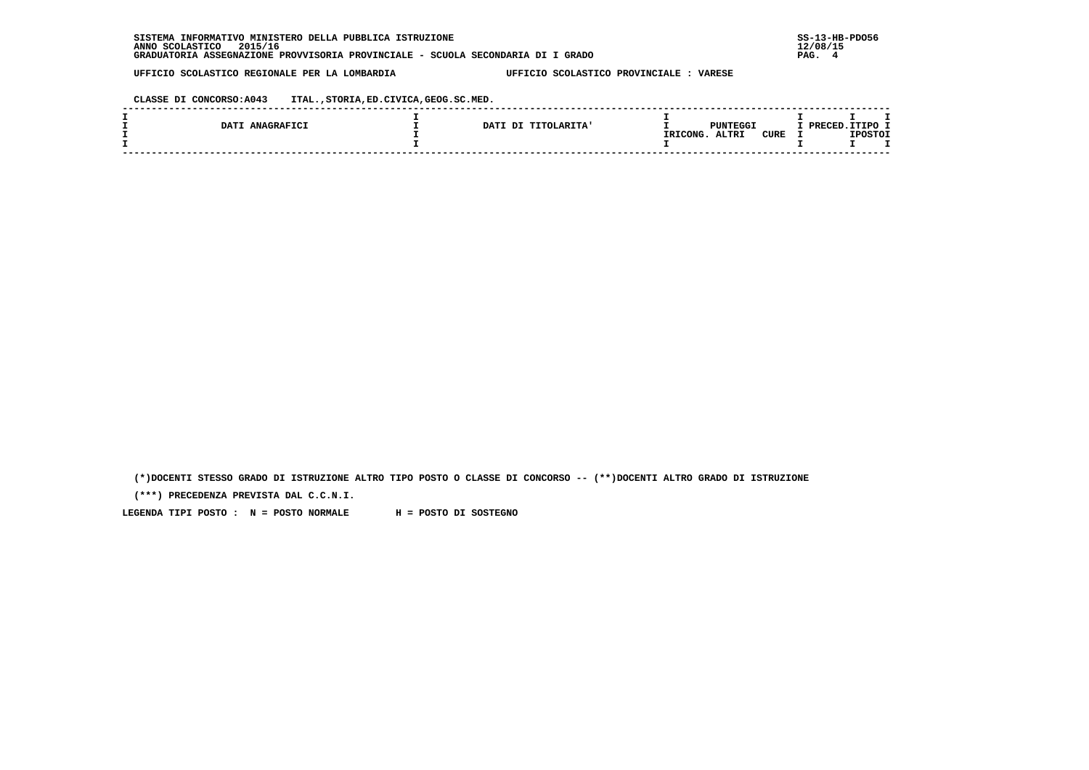**CLASSE DI CONCORSO:A043 ITAL.,STORIA,ED.CIVICA,GEOG.SC.MED.**

|     | ANAGRAFICI<br>DAT? | DATI<br><b>TITOLARITA'</b><br>ים. | PUNTEGGI<br><b>ALTRI</b><br><b>CURE</b> | /סמת | י הסדי<br><b>TPOSTOT</b> |  |
|-----|--------------------|-----------------------------------|-----------------------------------------|------|--------------------------|--|
|     |                    |                                   | IRICONG.                                |      |                          |  |
| ___ |                    |                                   |                                         |      |                          |  |

 **(\*)DOCENTI STESSO GRADO DI ISTRUZIONE ALTRO TIPO POSTO O CLASSE DI CONCORSO -- (\*\*)DOCENTI ALTRO GRADO DI ISTRUZIONE**

 **(\*\*\*) PRECEDENZA PREVISTA DAL C.C.N.I.**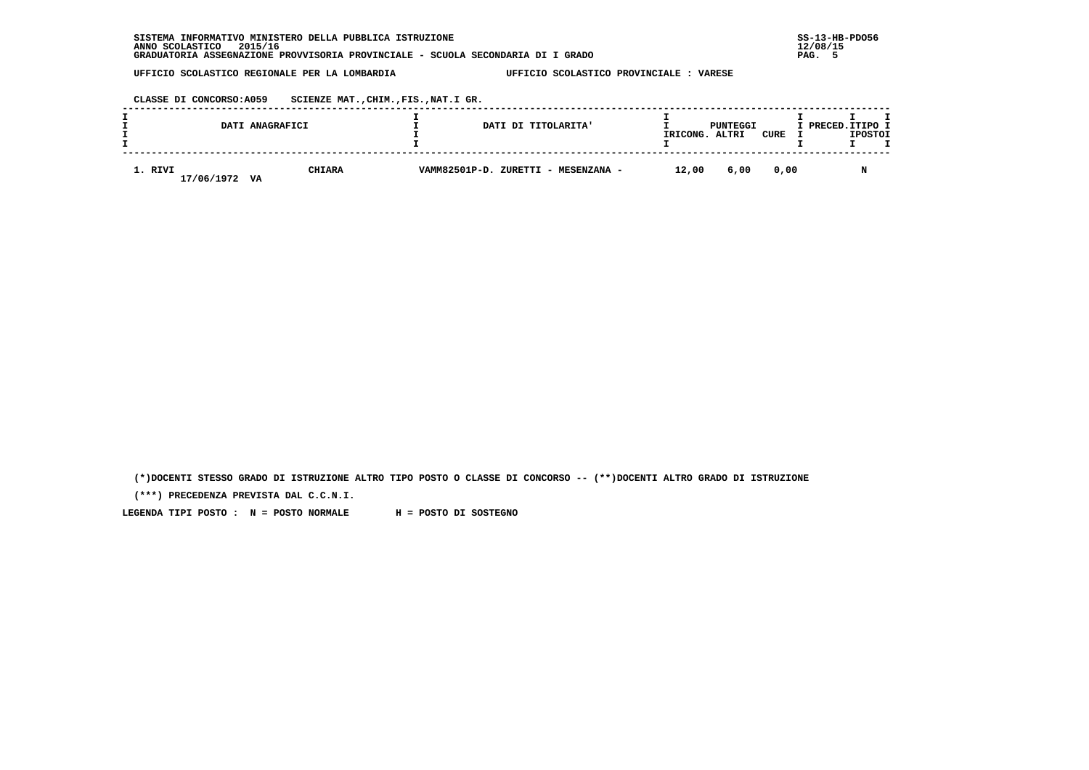| INFORMATIVO MINISTERO DELLA PUBBLICA ISTRUZIONE<br><b>SISTEMA</b>               | $SS-13-HE$ |
|---------------------------------------------------------------------------------|------------|
| 2015/16<br>ANNO SCOLASTICO                                                      | 12/08/15   |
| GRADUATORIA ASSEGNAZIONE PROVVISORIA PROVINCIALE - SCUOLA SECONDARIA DI I GRADO | PAG.       |

 **CLASSE DI CONCORSO:A059 SCIENZE MAT.,CHIM.,FIS.,NAT.I GR.**

|                       | DATI ANAGRAFICI     | DATI DI TITOLARITA'                 | IRICONG. | PUNTEGGI<br>ALTRI | CURE | I PRECED.ITIPO I | <b>IPOSTOI</b> |  |
|-----------------------|---------------------|-------------------------------------|----------|-------------------|------|------------------|----------------|--|
| 1. RIVI<br>17/06/1972 | <b>CHIARA</b><br>VA | VAMM82501P-D. ZURETTI - MESENZANA - | 12,00    | 6,00              | 0,00 |                  |                |  |

 **(\*)DOCENTI STESSO GRADO DI ISTRUZIONE ALTRO TIPO POSTO O CLASSE DI CONCORSO -- (\*\*)DOCENTI ALTRO GRADO DI ISTRUZIONE**

 **(\*\*\*) PRECEDENZA PREVISTA DAL C.C.N.I.**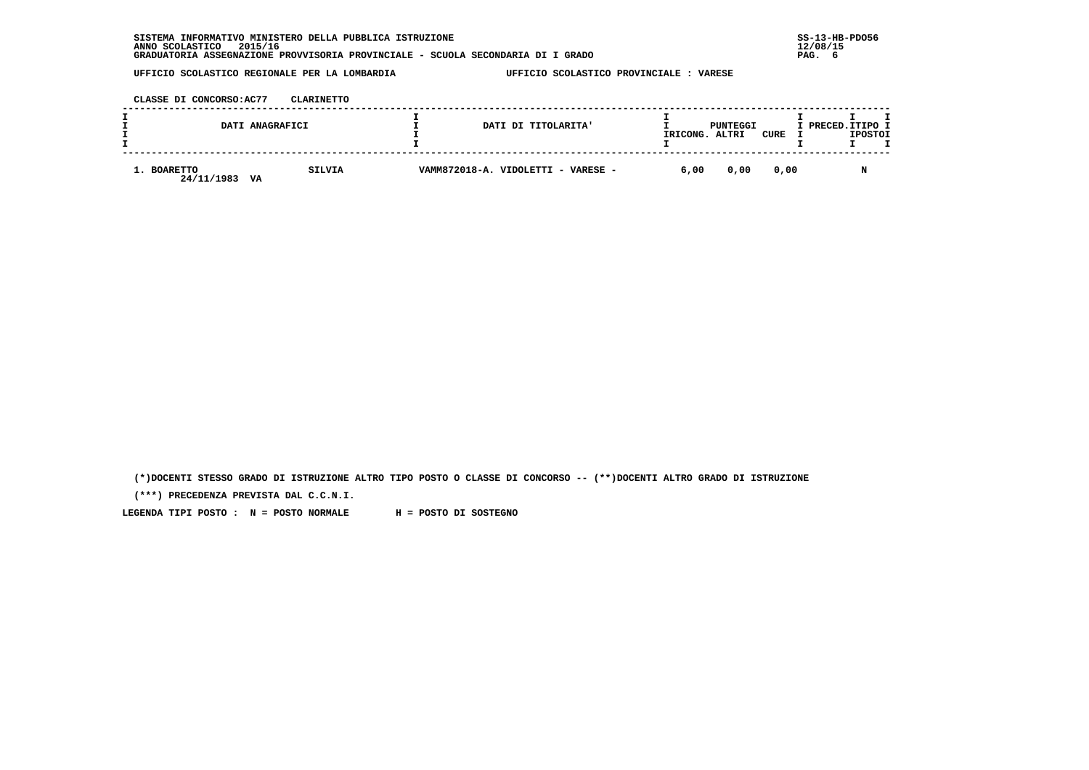| INFORMATIVO MINISTERO DELLA PUBBLICA ISTRUZIONE<br><b>SISTEMA</b>               | $SS-13-HE$ |
|---------------------------------------------------------------------------------|------------|
| 2015/16<br>ANNO SCOLASTICO                                                      | 12/08/15   |
| GRADUATORIA ASSEGNAZIONE PROVVISORIA PROVINCIALE - SCUOLA SECONDARIA DI I GRADO | PAG.       |

 **CLASSE DI CONCORSO:AC77 CLARINETTO**

|                                 | DATI ANAGRAFICI | DATI DI TITOLARITA'                | IRICONG. | PUNTEGGI<br>ALTRI | CURE | I PRECED.ITIPO I<br><b>IPOSTOI</b> |  |
|---------------------------------|-----------------|------------------------------------|----------|-------------------|------|------------------------------------|--|
| 1. BOARETTO<br>24/11/1983<br>VA | <b>SILVIA</b>   | VAMM872018-A. VIDOLETTI - VARESE - | 6,00     | 0,00              | 0,00 |                                    |  |

 **(\*)DOCENTI STESSO GRADO DI ISTRUZIONE ALTRO TIPO POSTO O CLASSE DI CONCORSO -- (\*\*)DOCENTI ALTRO GRADO DI ISTRUZIONE**

 **(\*\*\*) PRECEDENZA PREVISTA DAL C.C.N.I.**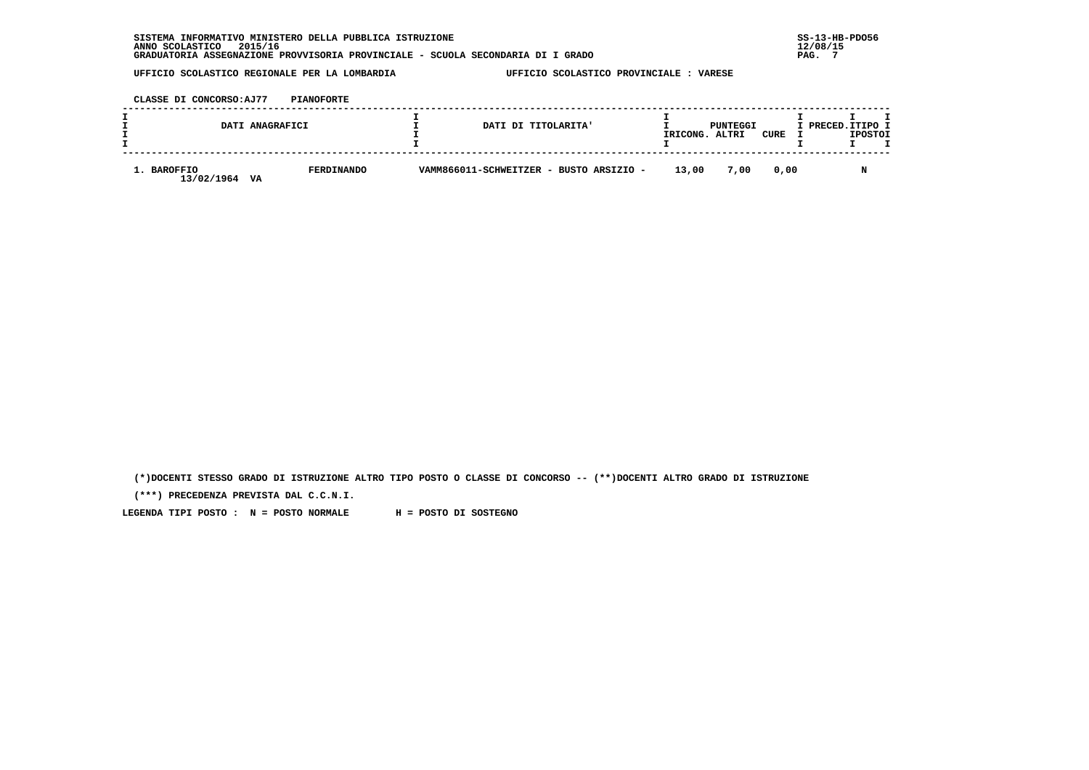**CLASSE DI CONCORSO:AJ77 PIANOFORTE**

|                           | DATI ANAGRAFICI         | DATI DI TITOLARITA'                     | IRICONG. | PUNTEGGI<br>ALTRI | CURE | I PRECED.ITIPO I | <b>IPOSTOI</b> |  |
|---------------------------|-------------------------|-----------------------------------------|----------|-------------------|------|------------------|----------------|--|
| 1. BAROFFIO<br>13/02/1964 | <b>FERDINANDO</b><br>VA | VAMM866011-SCHWEITZER - BUSTO ARSIZIO - | 13,00    | 7,00              | 0.00 |                  |                |  |

 **(\*)DOCENTI STESSO GRADO DI ISTRUZIONE ALTRO TIPO POSTO O CLASSE DI CONCORSO -- (\*\*)DOCENTI ALTRO GRADO DI ISTRUZIONE**

 **(\*\*\*) PRECEDENZA PREVISTA DAL C.C.N.I.**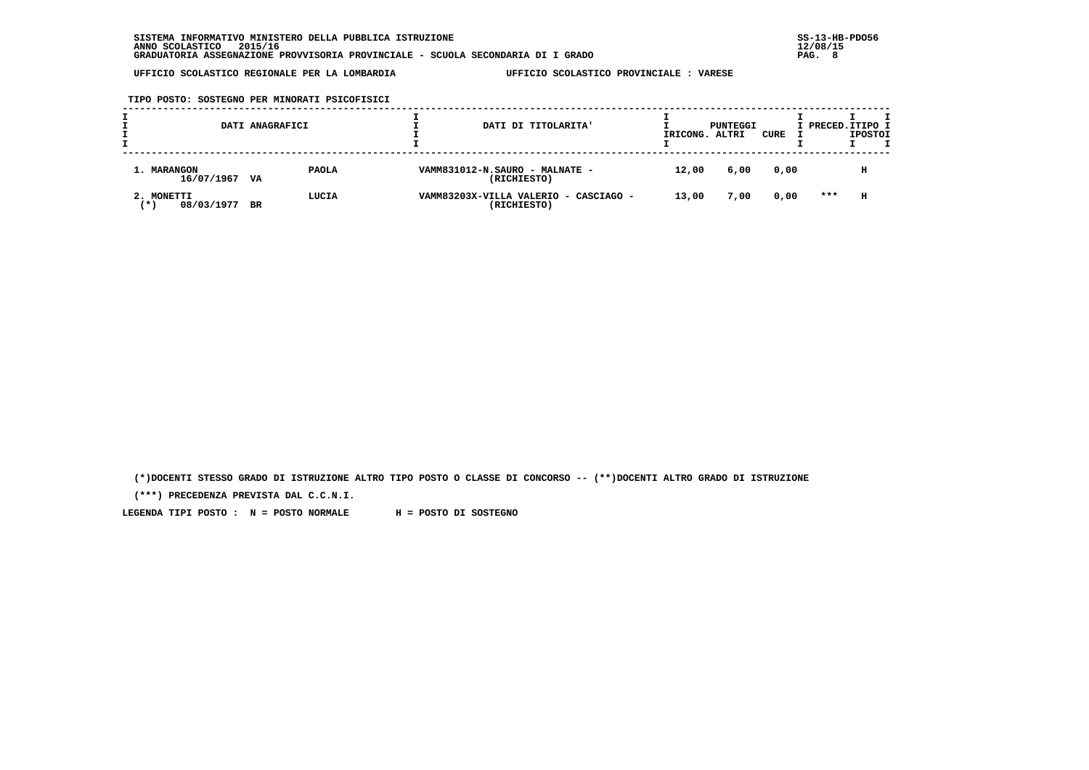**TIPO POSTO: SOSTEGNO PER MINORATI PSICOFISICI**

|                                   | DATI ANAGRAFICI |                                               | DATI DI TITOLARITA'<br>IRICONG.                | PUNTEGGI<br>ALTRI | CURE | I PRECED. ITIPO I | <b>IPOSTOI</b> |  |
|-----------------------------------|-----------------|-----------------------------------------------|------------------------------------------------|-------------------|------|-------------------|----------------|--|
| 1. MARANGON<br>16/07/1967 VA      | <b>PAOLA</b>    | VAMM831012-N.SAURO - MALNATE -<br>(RICHIESTO) | 12,00                                          | 6,00              | 0,00 |                   | н              |  |
| 2. MONETTI<br>08/03/1977<br>′ ★ ' | LUCIA<br>BR     | (RICHIESTO)                                   | VAMM83203X-VILLA VALERIO - CASCIAGO -<br>13,00 | 7,00              | 0,00 | ***               | н              |  |

 **(\*)DOCENTI STESSO GRADO DI ISTRUZIONE ALTRO TIPO POSTO O CLASSE DI CONCORSO -- (\*\*)DOCENTI ALTRO GRADO DI ISTRUZIONE**

 **(\*\*\*) PRECEDENZA PREVISTA DAL C.C.N.I.**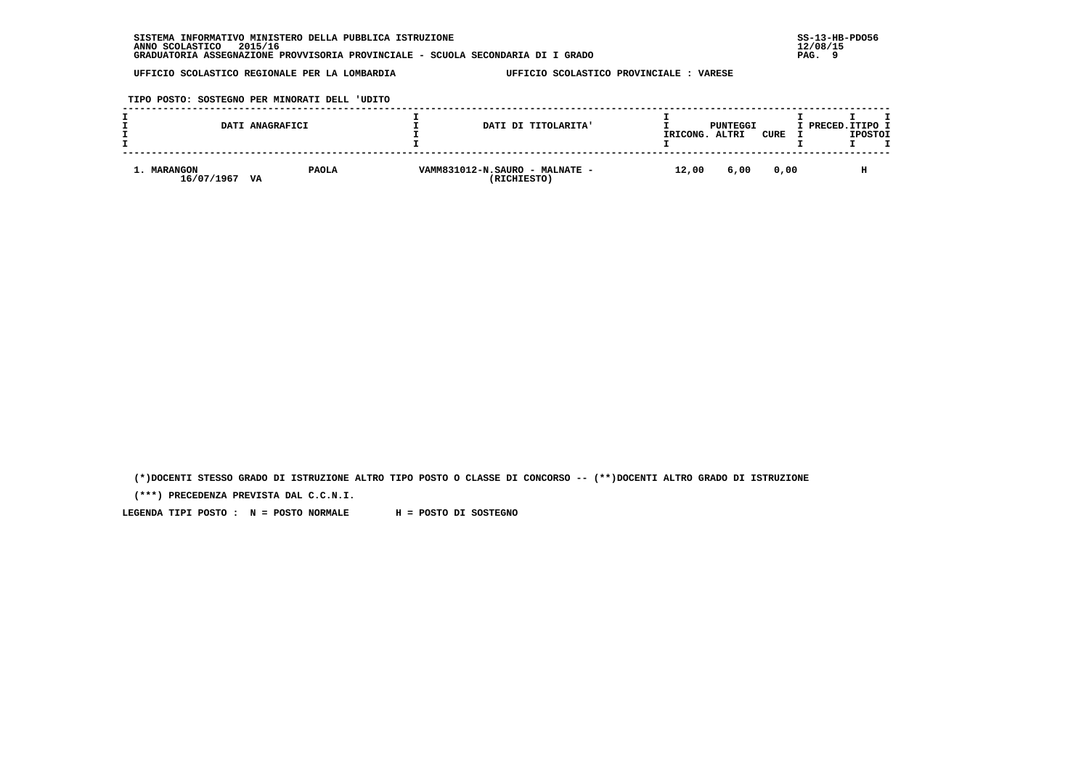**TIPO POSTO: SOSTEGNO PER MINORATI DELL 'UDITO**

|                           | DATI ANAGRAFICI    | DATI DI TITOLARITA'                           | IRICONG. | PUNTEGGI<br>ALTRI | CURE | I PRECED. ITIPO I<br><b>IPOSTOI</b> |  |
|---------------------------|--------------------|-----------------------------------------------|----------|-------------------|------|-------------------------------------|--|
| 1. MARANGON<br>16/07/1967 | <b>PAOLA</b><br>VA | VAMM831012-N.SAURO - MALNATE -<br>(RICHIESTO) | 12,00    | 6,00              | 0.00 | н                                   |  |

 **(\*)DOCENTI STESSO GRADO DI ISTRUZIONE ALTRO TIPO POSTO O CLASSE DI CONCORSO -- (\*\*)DOCENTI ALTRO GRADO DI ISTRUZIONE**

 **(\*\*\*) PRECEDENZA PREVISTA DAL C.C.N.I.**